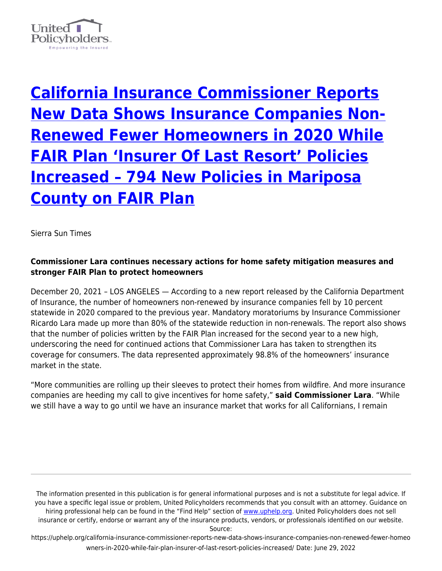

**[California Insurance Commissioner Reports](https://uphelp.org/california-insurance-commissioner-reports-new-data-shows-insurance-companies-non-renewed-fewer-homeowners-in-2020-while-fair-plan-insurer-of-last-resort-policies-increased/) [New Data Shows Insurance Companies Non-](https://uphelp.org/california-insurance-commissioner-reports-new-data-shows-insurance-companies-non-renewed-fewer-homeowners-in-2020-while-fair-plan-insurer-of-last-resort-policies-increased/)[Renewed Fewer Homeowners in 2020 While](https://uphelp.org/california-insurance-commissioner-reports-new-data-shows-insurance-companies-non-renewed-fewer-homeowners-in-2020-while-fair-plan-insurer-of-last-resort-policies-increased/) [FAIR Plan 'Insurer Of Last Resort' Policies](https://uphelp.org/california-insurance-commissioner-reports-new-data-shows-insurance-companies-non-renewed-fewer-homeowners-in-2020-while-fair-plan-insurer-of-last-resort-policies-increased/) [Increased – 794 New Policies in Mariposa](https://uphelp.org/california-insurance-commissioner-reports-new-data-shows-insurance-companies-non-renewed-fewer-homeowners-in-2020-while-fair-plan-insurer-of-last-resort-policies-increased/) [County on FAIR Plan](https://uphelp.org/california-insurance-commissioner-reports-new-data-shows-insurance-companies-non-renewed-fewer-homeowners-in-2020-while-fair-plan-insurer-of-last-resort-policies-increased/)**

Sierra Sun Times

## **Commissioner Lara continues necessary actions for home safety mitigation measures and stronger FAIR Plan to protect homeowners**

December 20, 2021 – LOS ANGELES — According to a new report released by the California Department of Insurance, the number of homeowners non-renewed by insurance companies fell by 10 percent statewide in 2020 compared to the previous year. Mandatory moratoriums by Insurance Commissioner Ricardo Lara made up more than 80% of the statewide reduction in non-renewals. The report also shows that the number of policies written by the FAIR Plan increased for the second year to a new high, underscoring the need for continued actions that Commissioner Lara has taken to strengthen its coverage for consumers. The data represented approximately 98.8% of the homeowners' insurance market in the state.

"More communities are rolling up their sleeves to protect their homes from wildfire. And more insurance companies are heeding my call to give incentives for home safety," **said Commissioner Lara**. "While we still have a way to go until we have an insurance market that works for all Californians, I remain

The information presented in this publication is for general informational purposes and is not a substitute for legal advice. If you have a specific legal issue or problem, United Policyholders recommends that you consult with an attorney. Guidance on hiring professional help can be found in the "Find Help" section of [www.uphelp.org.](http://www.uphelp.org/) United Policyholders does not sell insurance or certify, endorse or warrant any of the insurance products, vendors, or professionals identified on our website.

Source: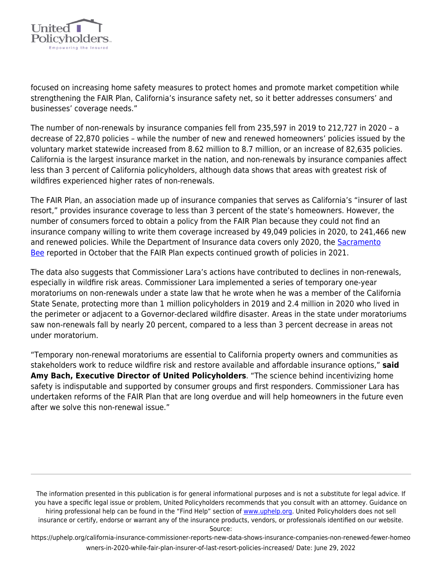

focused on increasing home safety measures to protect homes and promote market competition while strengthening the FAIR Plan, California's insurance safety net, so it better addresses consumers' and businesses' coverage needs."

The number of non-renewals by insurance companies fell from 235,597 in 2019 to 212,727 in 2020 – a decrease of 22,870 policies – while the number of new and renewed homeowners' policies issued by the voluntary market statewide increased from 8.62 million to 8.7 million, or an increase of 82,635 policies. California is the largest insurance market in the nation, and non-renewals by insurance companies affect less than 3 percent of California policyholders, although data shows that areas with greatest risk of wildfires experienced higher rates of non-renewals.

The FAIR Plan, an association made up of insurance companies that serves as California's "insurer of last resort," provides insurance coverage to less than 3 percent of the state's homeowners. However, the number of consumers forced to obtain a policy from the FAIR Plan because they could not find an insurance company willing to write them coverage increased by 49,049 policies in 2020, to 241,466 new and renewed policies. While the Department of Insurance data covers only 2020, the [Sacramento](https://www.sacbee.com/news/california/fires/article255272796.html) [Bee](https://www.sacbee.com/news/california/fires/article255272796.html) reported in October that the FAIR Plan expects continued growth of policies in 2021.

The data also suggests that Commissioner Lara's actions have contributed to declines in non-renewals, especially in wildfire risk areas. Commissioner Lara implemented a series of temporary one-year moratoriums on non-renewals under a state law that he wrote when he was a member of the California State Senate, protecting more than 1 million policyholders in 2019 and 2.4 million in 2020 who lived in the perimeter or adjacent to a Governor-declared wildfire disaster. Areas in the state under moratoriums saw non-renewals fall by nearly 20 percent, compared to a less than 3 percent decrease in areas not under moratorium.

"Temporary non-renewal moratoriums are essential to California property owners and communities as stakeholders work to reduce wildfire risk and restore available and affordable insurance options," **said Amy Bach, Executive Director of United Policyholders**. "The science behind incentivizing home safety is indisputable and supported by consumer groups and first responders. Commissioner Lara has undertaken reforms of the FAIR Plan that are long overdue and will help homeowners in the future even after we solve this non-renewal issue."

The information presented in this publication is for general informational purposes and is not a substitute for legal advice. If you have a specific legal issue or problem, United Policyholders recommends that you consult with an attorney. Guidance on hiring professional help can be found in the "Find Help" section of [www.uphelp.org.](http://www.uphelp.org/) United Policyholders does not sell insurance or certify, endorse or warrant any of the insurance products, vendors, or professionals identified on our website.

Source: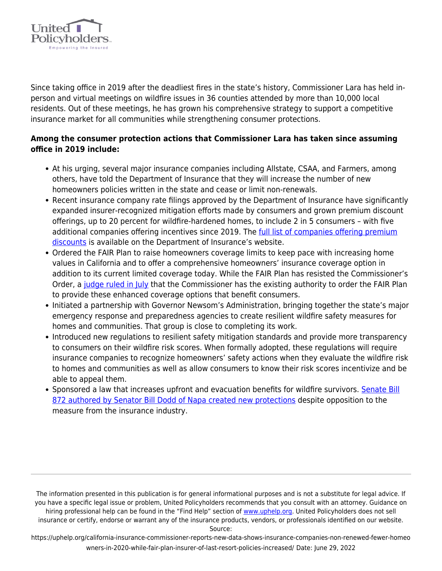

Since taking office in 2019 after the deadliest fires in the state's history, Commissioner Lara has held inperson and virtual meetings on wildfire issues in 36 counties attended by more than 10,000 local residents. Out of these meetings, he has grown his comprehensive strategy to support a competitive insurance market for all communities while strengthening consumer protections.

## **Among the consumer protection actions that Commissioner Lara has taken since assuming office in 2019 include:**

- At his urging, several major insurance companies including Allstate, CSAA, and Farmers, among others, have told the Department of Insurance that they will increase the number of new homeowners policies written in the state and cease or limit non-renewals.
- Recent insurance company rate filings approved by the Department of Insurance have significantly expanded insurer-recognized mitigation efforts made by consumers and grown premium discount offerings, up to 20 percent for wildfire-hardened homes, to include 2 in 5 consumers – with five additional companies offering incentives since 2019. The [full list of companies offering premium](http://www.insurance.ca.gov/01-consumers/105-type/95-guides/03-res/Insurers-Currently-Offering-Discounts.cfm) [discounts](http://www.insurance.ca.gov/01-consumers/105-type/95-guides/03-res/Insurers-Currently-Offering-Discounts.cfm) is available on the Department of Insurance's website.
- Ordered the FAIR Plan to raise homeowners coverage limits to keep pace with increasing home values in California and to offer a comprehensive homeowners' insurance coverage option in addition to its current limited coverage today. While the FAIR Plan has resisted the Commissioner's Order, a [judge ruled in July](http://www.insurance.ca.gov/0400-news/0100-press-releases/2021/statement073-2021.cfm) that the Commissioner has the existing authority to order the FAIR Plan to provide these enhanced coverage options that benefit consumers.
- Initiated a partnership with Governor Newsom's Administration, bringing together the state's major emergency response and preparedness agencies to create resilient wildfire safety measures for homes and communities. That group is close to completing its work.
- Introduced new regulations to resilient safety mitigation standards and provide more transparency to consumers on their wildfire risk scores. When formally adopted, these regulations will require insurance companies to recognize homeowners' safety actions when they evaluate the wildfire risk to homes and communities as well as allow consumers to know their risk scores incentivize and be able to appeal them.
- Sponsored a law that increases upfront and evacuation benefits for wildfire survivors. [Senate Bill](http://www.insurance.ca.gov/0400-news/0100-press-releases/2021/release078-2021.cfm) [872 authored by Senator Bill Dodd of Napa created new protections](http://www.insurance.ca.gov/0400-news/0100-press-releases/2021/release078-2021.cfm) despite opposition to the measure from the insurance industry.

The information presented in this publication is for general informational purposes and is not a substitute for legal advice. If you have a specific legal issue or problem, United Policyholders recommends that you consult with an attorney. Guidance on hiring professional help can be found in the "Find Help" section of [www.uphelp.org.](http://www.uphelp.org/) United Policyholders does not sell insurance or certify, endorse or warrant any of the insurance products, vendors, or professionals identified on our website.

Source: